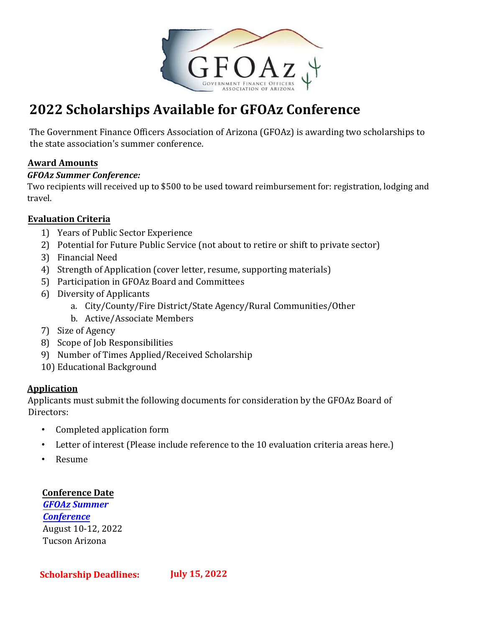

# **2022 Scholarships Available for GFOAz Conference**

The Government Finance Officers Association of Arizona (GFOAz) is awarding two scholarships to the state association's summer conference.

### **Award Amounts**

#### *GFOAz Summer Conference:*

Two recipients will received up to \$500 to be used toward reimbursement for: registration, lodging and travel.

#### **Evaluation Criteria**

- 1) Years of Public Sector Experience
- 2) Potential for Future Public Service (not about to retire or shift to private sector)
- 3) Financial Need
- 4) Strength of Application (cover letter, resume, supporting materials)
- 5) Participation in GFOAz Board and Committees
- 6) Diversity of Applicants
	- a. City/County/Fire District/State Agency/Rural Communities/Other
	- b. Active/Associate Members
- 7) Size of Agency
- 8) Scope of Job Responsibilities
- 9) Number of Times Applied/Received Scholarship
- 10) Educational Background

#### **Application**

Applicants must submit the following documents for consideration by the GFOAz Board of Directors:

- Completed application form
- Letter of interest (Please include reference to the 10 evaluation criteria areas here.)
- Resume

#### **Conference Date**

*GFOAz Summer [Conference](https://gfoaz.org/conferences-training/)*  [August 10-12](https://gfoaz.org/conferences-training/), [2](https://gfoaz.org/conferences-training/)022 Tucson Arizona

**Scholarship Deadlines: July 15, 2022**